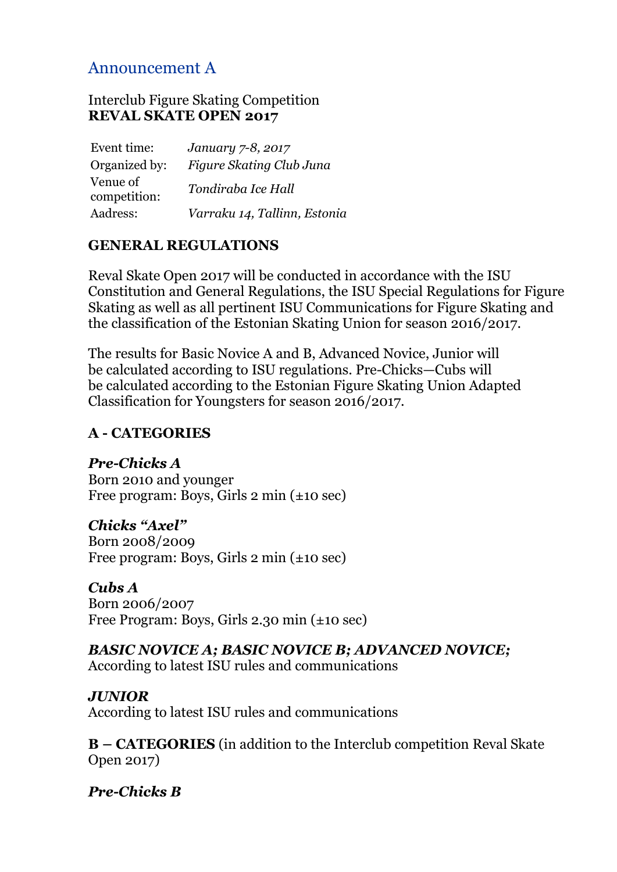# Announcement A

#### Interclub Figure Skating Competition **REVAL SKATE OPEN 2017**

| Event time:              | January 7-8, 2017            |
|--------------------------|------------------------------|
| Organized by:            | Figure Skating Club Juna     |
| Venue of<br>competition: | Tondiraba Ice Hall           |
| Aadress:                 | Varraku 14, Tallinn, Estonia |

#### **GENERAL REGULATIONS**

Reval Skate Open 2017 will be conducted in accordance with the ISU Constitution and General Regulations, the ISU Special Regulations for Figure Skating as well as all pertinent ISU Communications for Figure Skating and the classification of the Estonian Skating Union for season 2016/2017.

The results for Basic Novice A and B, Advanced Novice, Junior will be calculated according to ISU regulations. Pre-Chicks—Cubs will be calculated according to the Estonian Figure Skating Union Adapted Classification for Youngsters for season 2016/2017.

## **A - CATEGORIES**

*Pre-Chicks A* Born 2010 and younger Free program: Boys, Girls 2 min (±10 sec)

### *Chicks "Axel"*

Born 2008/2009 Free program: Boys, Girls 2 min (±10 sec)

#### *Cubs A*

Born 2006/2007 Free Program: Boys, Girls 2.30 min (±10 sec)

### *BASIC NOVICE A; BASIC NOVICE B; ADVANCED NOVICE;*

According to latest ISU rules and communications

### *JUNIOR*

According to latest ISU rules and communications

**B – CATEGORIES** (in addition to the Interclub competition Reval Skate Open 2017)

*Pre-Chicks B*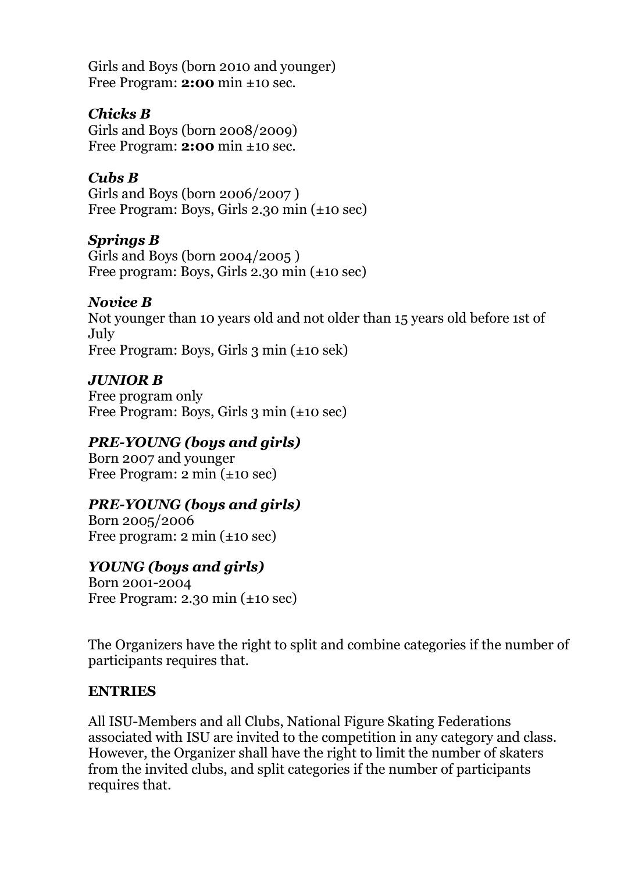Girls and Boys (born 2010 and younger) Free Program: **2:00** min ±10 sec.

## *Chicks B*

Girls and Boys (born 2008/2009) Free Program: **2:00** min ±10 sec.

## *Cubs B*

Girls and Boys (born 2006/2007 ) Free Program: Boys, Girls 2.30 min (±10 sec)

### *Springs B*

Girls and Boys (born 2004/2005 ) Free program: Boys, Girls 2.30 min (±10 sec)

### *Novice B*

Not younger than 10 years old and not older than 15 years old before 1st of July Free Program: Boys, Girls 3 min (±10 sek)

### *JUNIOR B*

Free program only Free Program: Boys, Girls 3 min (±10 seс)

### *PRE-YOUNG (boys and girls)*

Born 2007 and younger Free Program: 2 min (±10 seс)

## *PRE-YOUNG (boys and girls)*

Born 2005/2006 Free program: 2 min (±10 seс)

### *YOUNG (boys and girls)*

Born 2001-2004 Free Program: 2.30 min (±10 seс)

The Organizers have the right to split and combine categories if the number of participants requires that.

#### **ENTRIES**

All ISU-Members and all Clubs, National Figure Skating Federations associated with ISU are invited to the competition in any category and class. However, the Organizer shall have the right to limit the number of skaters from the invited clubs, and split categories if the number of participants requires that.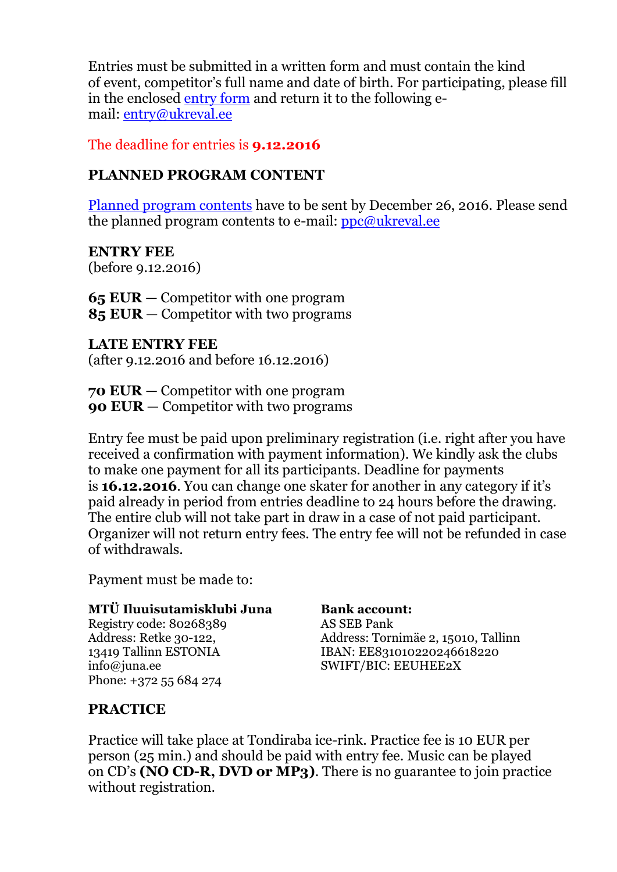Entries must be submitted in a written form and must contain the kind of event, competitor's full name and date of birth. For participating, please fill in the enclosed [entry form](http://rso.ukreval.ee/doc/entry_rso2014.doc) and return it to the following email: [entry@ukreval.ee](mailto:%20entry@ukreval.ee?subject=Reval%20Skate%20Open%202014%20Entry)

The deadline for entries is **9.12.2016**

#### **PLANNED PROGRAM CONTENT**

[Planned program contents](http://rso.ukreval.ee/doc/ppc_rso2014.doc) have to be sent by December 26, 2016. Please send the planned program contents to e-mail: [ppc@ukreval.ee](mailto:%20ppc@ukreval.ee?subject=Reval%20Skate%20Open%202014%20PPC)

**ENTRY FEE** (before 9.12.2016)

**65 EUR** — Competitor with one program **85 EUR** — Competitor with two programs

**LATE ENTRY FEE** (after 9.12.2016 and before 16.12.2016)

**70 EUR** — Competitor with one program **90 EUR** — Competitor with two programs

Entry fee must be paid upon preliminary registration (i.e. right after you have received a confirmation with payment information). We kindly ask the clubs to make one payment for all its participants. Deadline for payments is **16.12.2016**. You can change one skater for another in any category if it's paid already in period from entries deadline to 24 hours before the drawing. The entire club will not take part in draw in a case of not paid participant. Organizer will not return entry fees. The entry fee will not be refunded in case of withdrawals.

Payment must be made to:

#### **MTÜ Iluuisutamisklubi Juna**

Registry code: 80268389 Address: Retke 30-122, 13419 Tallinn ESTONIA info@juna.ee Phone: +372 55 684 274

**Bank account:** AS SEB Pank Address: Tornimäe 2, 15010, Tallinn IBAN: EE831010220246618220 SWIFT/BIC: EEUHEE2X

### **PRACTICE**

Practice will take place at Tondiraba ice-rink. Practice fee is 10 EUR per person (25 min.) and should be paid with entry fee. Music can be played on CD's **(NO CD-R, DVD or MP3)**. There is no guarantee to join practice without registration.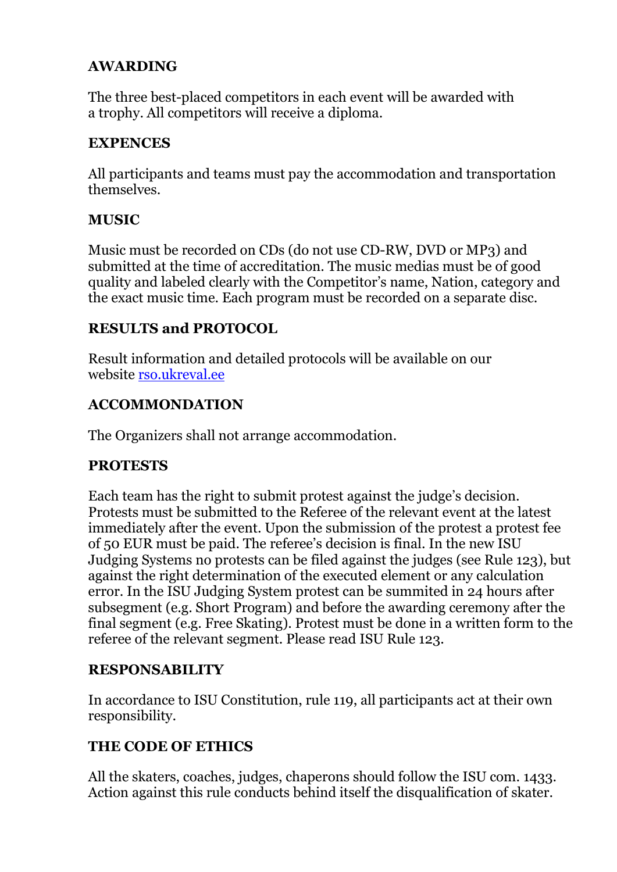### **AWARDING**

The three best-placed competitors in each event will be awarded with a trophy. All competitors will receive a diploma.

### **EXPENCES**

All participants and teams must pay the accommodation and transportation themselves.

### **MUSIC**

Music must be recorded on CDs (do not use CD-RW, DVD or MP3) and submitted at the time of accreditation. The music medias must be of good quality and labeled clearly with the Competitor's name, Nation, category and the exact music time. Each program must be recorded on a separate disc.

### **RESULTS and PROTOCOL**

Result information and detailed protocols will be available on our website [rso.ukreval.ee](http://rso.ukreval.ee/index.php?link=results)

### **ACCOMMONDATION**

The Organizers shall not arrange accommodation.

## **PROTESTS**

Each team has the right to submit protest against the judge's decision. Protests must be submitted to the Referee of the relevant event at the latest immediately after the event. Upon the submission of the protest a protest fee of 50 EUR must be paid. The referee's decision is final. In the new ISU Judging Systems no protests can be filed against the judges (see Rule 123), but against the right determination of the executed element or any calculation error. In the ISU Judging System protest can be summited in 24 hours after subsegment (e.g. Short Program) and before the awarding ceremony after the final segment (e.g. Free Skating). Protest must be done in a written form to the referee of the relevant segment. Please read ISU Rule 123.

### **RESPONSABILITY**

In accordance to ISU Constitution, rule 119, all participants act at their own responsibility.

### **THE CODE OF ETHICS**

All the skaters, coaches, judges, chaperons should follow the ISU com. 1433. Action against this rule conducts behind itself the disqualification of skater.